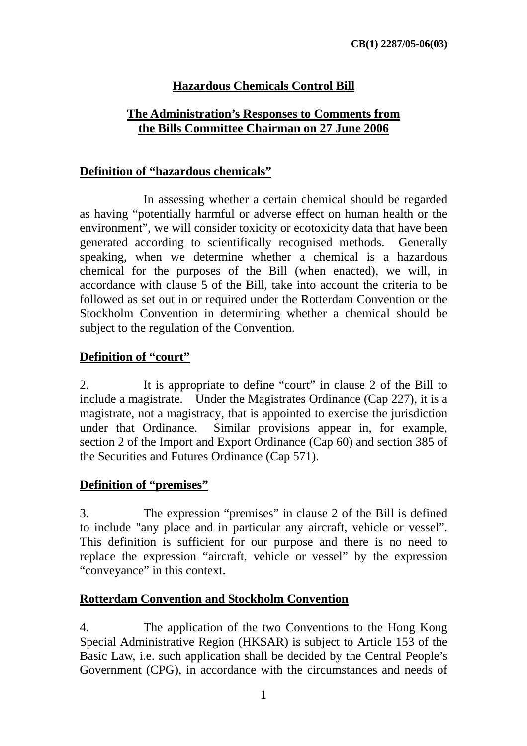## **Hazardous Chemicals Control Bill**

### **The Administration's Responses to Comments from the Bills Committee Chairman on 27 June 2006**

#### **Definition of "hazardous chemicals"**

 In assessing whether a certain chemical should be regarded as having "potentially harmful or adverse effect on human health or the environment", we will consider toxicity or ecotoxicity data that have been generated according to scientifically recognised methods. Generally speaking, when we determine whether a chemical is a hazardous chemical for the purposes of the Bill (when enacted), we will, in accordance with clause 5 of the Bill, take into account the criteria to be followed as set out in or required under the Rotterdam Convention or the Stockholm Convention in determining whether a chemical should be subject to the regulation of the Convention.

## **Definition of "court"**

2. It is appropriate to define "court" in clause 2 of the Bill to include a magistrate. Under the Magistrates Ordinance (Cap 227), it is a magistrate, not a magistracy, that is appointed to exercise the jurisdiction under that Ordinance. Similar provisions appear in, for example, section 2 of the Import and Export Ordinance (Cap 60) and section 385 of the Securities and Futures Ordinance (Cap 571).

## **Definition of "premises"**

3. The expression "premises" in clause 2 of the Bill is defined to include "any place and in particular any aircraft, vehicle or vessel". This definition is sufficient for our purpose and there is no need to replace the expression "aircraft, vehicle or vessel" by the expression "conveyance" in this context.

## **Rotterdam Convention and Stockholm Convention**

4. The application of the two Conventions to the Hong Kong Special Administrative Region (HKSAR) is subject to Article 153 of the Basic Law, i.e. such application shall be decided by the Central People's Government (CPG), in accordance with the circumstances and needs of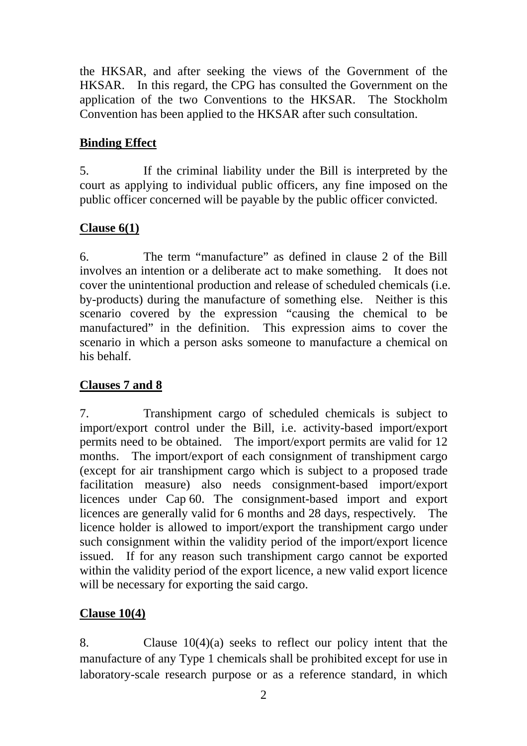the HKSAR, and after seeking the views of the Government of the HKSAR. In this regard, the CPG has consulted the Government on the application of the two Conventions to the HKSAR. The Stockholm Convention has been applied to the HKSAR after such consultation.

## **Binding Effect**

5. If the criminal liability under the Bill is interpreted by the court as applying to individual public officers, any fine imposed on the public officer concerned will be payable by the public officer convicted.

## **Clause 6(1)**

6. The term "manufacture" as defined in clause 2 of the Bill involves an intention or a deliberate act to make something. It does not cover the unintentional production and release of scheduled chemicals (i.e. by-products) during the manufacture of something else. Neither is this scenario covered by the expression "causing the chemical to be manufactured" in the definition. This expression aims to cover the scenario in which a person asks someone to manufacture a chemical on his behalf.

## **Clauses 7 and 8**

7. Transhipment cargo of scheduled chemicals is subject to import/export control under the Bill, i.e. activity-based import/export permits need to be obtained. The import/export permits are valid for 12 months. The import/export of each consignment of transhipment cargo (except for air transhipment cargo which is subject to a proposed trade facilitation measure) also needs consignment-based import/export licences under Cap 60. The consignment-based import and export licences are generally valid for 6 months and 28 days, respectively. The licence holder is allowed to import/export the transhipment cargo under such consignment within the validity period of the import/export licence issued. If for any reason such transhipment cargo cannot be exported within the validity period of the export licence, a new valid export licence will be necessary for exporting the said cargo.

# **Clause 10(4)**

8. Clause 10(4)(a) seeks to reflect our policy intent that the manufacture of any Type 1 chemicals shall be prohibited except for use in laboratory-scale research purpose or as a reference standard, in which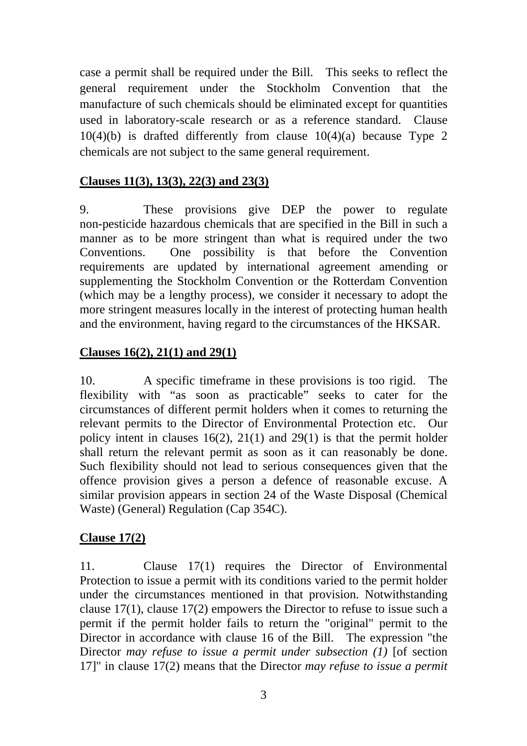case a permit shall be required under the Bill. This seeks to reflect the general requirement under the Stockholm Convention that the manufacture of such chemicals should be eliminated except for quantities used in laboratory-scale research or as a reference standard. Clause  $10(4)(b)$  is drafted differently from clause  $10(4)(a)$  because Type 2 chemicals are not subject to the same general requirement.

#### **Clauses 11(3), 13(3), 22(3) and 23(3)**

9. These provisions give DEP the power to regulate non-pesticide hazardous chemicals that are specified in the Bill in such a manner as to be more stringent than what is required under the two Conventions. One possibility is that before the Convention requirements are updated by international agreement amending or supplementing the Stockholm Convention or the Rotterdam Convention (which may be a lengthy process), we consider it necessary to adopt the more stringent measures locally in the interest of protecting human health and the environment, having regard to the circumstances of the HKSAR.

## **Clauses 16(2), 21(1) and 29(1)**

10. A specific timeframe in these provisions is too rigid. The flexibility with "as soon as practicable" seeks to cater for the circumstances of different permit holders when it comes to returning the relevant permits to the Director of Environmental Protection etc. Our policy intent in clauses 16(2), 21(1) and 29(1) is that the permit holder shall return the relevant permit as soon as it can reasonably be done. Such flexibility should not lead to serious consequences given that the offence provision gives a person a defence of reasonable excuse. A similar provision appears in section 24 of the Waste Disposal (Chemical Waste) (General) Regulation (Cap 354C).

#### **Clause 17(2)**

11. Clause 17(1) requires the Director of Environmental Protection to issue a permit with its conditions varied to the permit holder under the circumstances mentioned in that provision. Notwithstanding clause 17(1), clause 17(2) empowers the Director to refuse to issue such a permit if the permit holder fails to return the "original" permit to the Director in accordance with clause 16 of the Bill. The expression "the Director *may refuse to issue a permit under subsection (1)* [of section 17]" in clause 17(2) means that the Director *may refuse to issue a permit*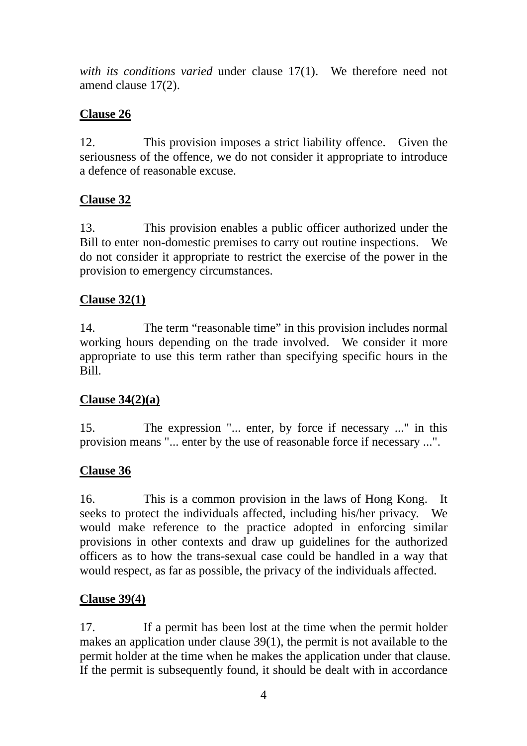*with its conditions varied* under clause 17(1). We therefore need not amend clause 17(2).

## **Clause 26**

12. This provision imposes a strict liability offence. Given the seriousness of the offence, we do not consider it appropriate to introduce a defence of reasonable excuse.

# **Clause 32**

13. This provision enables a public officer authorized under the Bill to enter non-domestic premises to carry out routine inspections. We do not consider it appropriate to restrict the exercise of the power in the provision to emergency circumstances.

# **Clause 32(1)**

14. The term "reasonable time" in this provision includes normal working hours depending on the trade involved. We consider it more appropriate to use this term rather than specifying specific hours in the Bill.

# **Clause 34(2)(a)**

15. The expression "... enter, by force if necessary ..." in this provision means "... enter by the use of reasonable force if necessary ...".

## **Clause 36**

16. This is a common provision in the laws of Hong Kong. It seeks to protect the individuals affected, including his/her privacy. We would make reference to the practice adopted in enforcing similar provisions in other contexts and draw up guidelines for the authorized officers as to how the trans-sexual case could be handled in a way that would respect, as far as possible, the privacy of the individuals affected.

## **Clause 39(4)**

17. If a permit has been lost at the time when the permit holder makes an application under clause 39(1), the permit is not available to the permit holder at the time when he makes the application under that clause. If the permit is subsequently found, it should be dealt with in accordance